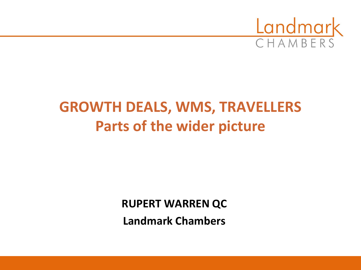

# **GROWTH DEALS, WMS, TRAVELLERS Parts of the wider picture**

**RUPERT WARREN QC**

**Landmark Chambers**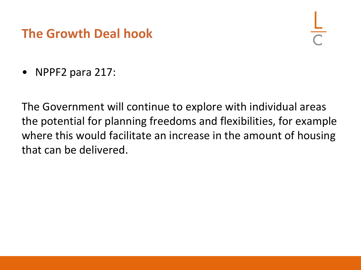## **The Growth Deal hook**

• NPPF2 para 217:

The Government will continue to explore with individual areas the potential for planning freedoms and flexibilities, for example where this would facilitate an increase in the amount of housing that can be delivered.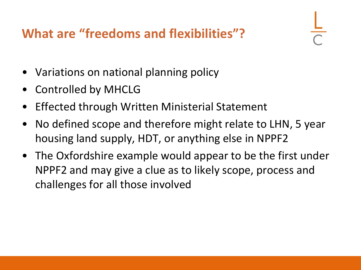# **What are "freedoms and flexibilities"?**

- Variations on national planning policy
- Controlled by MHCLG
- Effected through Written Ministerial Statement
- No defined scope and therefore might relate to LHN, 5 year housing land supply, HDT, or anything else in NPPF2
- The Oxfordshire example would appear to be the first under NPPF2 and may give a clue as to likely scope, process and challenges for all those involved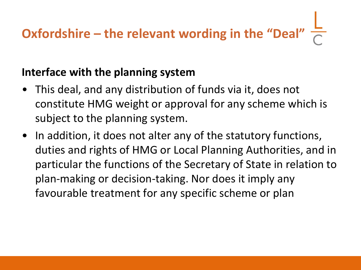# **Oxfordshire – the relevant wording in the "Deal"**

#### **Interface with the planning system**

- This deal, and any distribution of funds via it, does not constitute HMG weight or approval for any scheme which is subject to the planning system.
- In addition, it does not alter any of the statutory functions, duties and rights of HMG or Local Planning Authorities, and in particular the functions of the Secretary of State in relation to plan-making or decision-taking. Nor does it imply any favourable treatment for any specific scheme or plan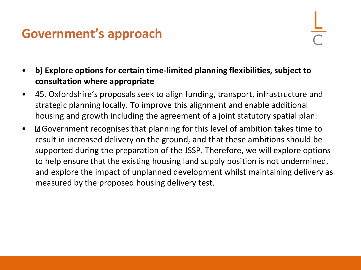# **Government's approach**

- **b) Explore options for certain time-limited planning flexibilities, subject to consultation where appropriate**
- 45. Oxfordshire's proposals seek to align funding, transport, infrastructure and strategic planning locally. To improve this alignment and enable additional housing and growth including the agreement of a joint statutory spatial plan:
- Government recognises that planning for this level of ambition takes time to result in increased delivery on the ground, and that these ambitions should be supported during the preparation of the JSSP. Therefore, we will explore options to help ensure that the existing housing land supply position is not undermined, and explore the impact of unplanned development whilst maintaining delivery as measured by the proposed housing delivery test.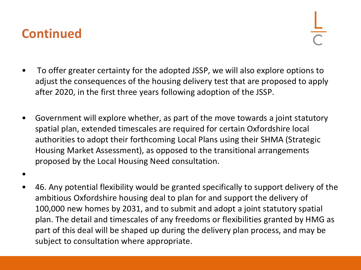#### **Continued**

- To offer greater certainty for the adopted JSSP, we will also explore options to adjust the consequences of the housing delivery test that are proposed to apply after 2020, in the first three years following adoption of the JSSP.
- Government will explore whether, as part of the move towards a joint statutory spatial plan, extended timescales are required for certain Oxfordshire local authorities to adopt their forthcoming Local Plans using their SHMA (Strategic Housing Market Assessment), as opposed to the transitional arrangements proposed by the Local Housing Need consultation.
- •
- 46. Any potential flexibility would be granted specifically to support delivery of the ambitious Oxfordshire housing deal to plan for and support the delivery of 100,000 new homes by 2031, and to submit and adopt a joint statutory spatial plan. The detail and timescales of any freedoms or flexibilities granted by HMG as part of this deal will be shaped up during the delivery plan process, and may be subject to consultation where appropriate.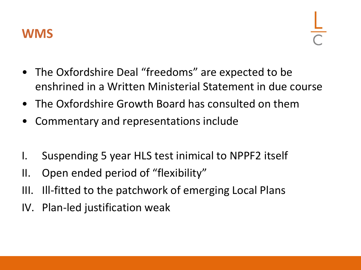

- The Oxfordshire Deal "freedoms" are expected to be enshrined in a Written Ministerial Statement in due course
- The Oxfordshire Growth Board has consulted on them
- Commentary and representations include
- I. Suspending 5 year HLS test inimical to NPPF2 itself
- II. Open ended period of "flexibility"
- III. Ill-fitted to the patchwork of emerging Local Plans
- IV. Plan-led justification weak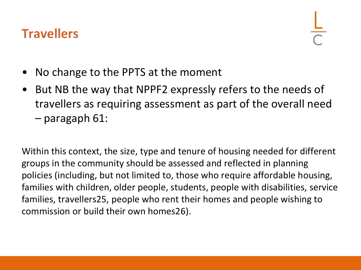## **Travellers**

- No change to the PPTS at the moment
- But NB the way that NPPF2 expressly refers to the needs of travellers as requiring assessment as part of the overall need – paragaph 61:

Within this context, the size, type and tenure of housing needed for different groups in the community should be assessed and reflected in planning policies (including, but not limited to, those who require affordable housing, families with children, older people, students, people with disabilities, service families, travellers25, people who rent their homes and people wishing to commission or build their own homes26).